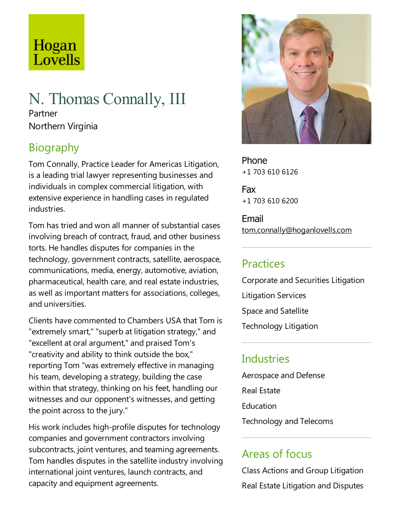# Hogan Lovells

# N. Thomas Connally, III Partner

Northern Virginia

# Biography

Tom Connally, Practice Leader for Americas Litigation, is a leading trial lawyer representing businesses and individuals in complex commercial litigation, with extensive experience in handling cases in regulated industries.

Tom has tried and won all manner of substantial cases involving breach of contract, fraud, and other business torts. He handles disputes for companies in the technology, government contracts, satellite, aerospace, communications, media, energy, automotive, aviation, pharmaceutical, health care, and real estate industries, as well as important matters for associations, colleges, and universities.

Clients have commented to Chambers USA that Tom is "extremely smart," "superb at litigation strategy,"and "excellent at oral argument," and praised Tom's "creativity and ability to think outside the box," reporting Tom "was extremely effective in managing his team, developing a strategy, building the case within that strategy, thinking on his feet, handling our witnesses and our opponent's witnesses, and getting the point across to the jury."

His work includes high-profile disputes for technology companies and government contractors involving subcontracts, joint ventures, and teaming agreements. Tom handles disputes in the satellite industry involving international joint ventures, launch contracts, and capacity and equipment agreements.



Phone +1 703 610 6126

Fax +1 703 610 6200

Email tom.connally@hoganlovells.com

#### Practices

Corporate and Securities Litigation

Litigation Services

Space and Satellite

Technology Litigation

# **Industries**

Aerospace and Defense Real Estate **Education** Technology and Telecoms

## Areas of focus

Class Actions and Group Litigation Real Estate Litigation and Disputes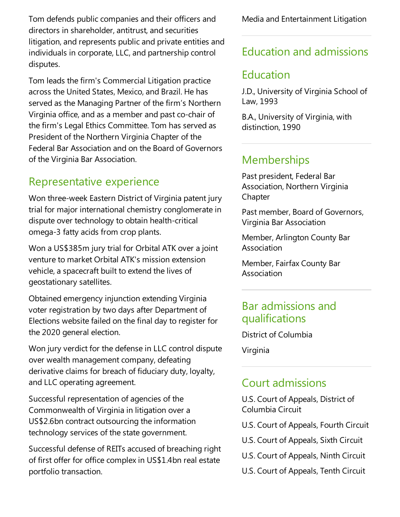Tom defends public companies and their officers and directors in shareholder, antitrust, and securities litigation, and represents public and private entities and individuals in corporate, LLC, and partnership control disputes.

Tom leads the firm's Commercial Litigation practice across the United States, Mexico, and Brazil. He has served as the Managing Partner of the firm's Northern Virginia office, and as a member and past co-chair of the firm's Legal Ethics Committee. Tom has served as President of the Northern Virginia Chapter of the Federal Bar Association and on the Board of Governors of the Virginia Bar Association.

#### Representative experience

Won three-week Eastern District of Virginia patent jury trial for major international chemistry conglomerate in dispute over technology to obtain health-critical omega-3 fatty acids from crop plants.

Won a US\$385m jury trial for Orbital ATK over a joint venture to market Orbital ATK's mission extension vehicle, a spacecraft built to extend the lives of geostationary satellites.

Obtained emergency injunction extending Virginia voter registration by two days after Department of Elections website failed on the final day to register for the 2020 general election.

Won jury verdict for the defense in LLC control dispute over wealth management company, defeating derivative claims for breach of fiduciary duty, loyalty, and LLC operating agreement.

Successful representation of agencies of the Commonwealth of Virginia in litigation over a US\$2.6bn contract outsourcing the information technology services of the state government.

Successful defense of REITs accused of breaching right of first offer for office complex in US\$1.4bn real estate portfolio transaction.

Media and Entertainment Litigation

## Education and admissions

#### Education

J.D., University of Virginia School of Law, 1993

B.A., University of Virginia, with distinction, 1990

# **Memberships**

Past president, Federal Bar Association, Northern Virginia **Chapter** 

Past member, Board of Governors, Virginia Bar Association

Member, Arlington County Bar Association

Member, Fairfax County Bar Association

#### Bar admissions and qualifications

District of Columbia

Virginia

#### **Court admissions**

U.S. Court of Appeals, District of Columbia Circuit

- U.S. Court of Appeals, Fourth Circuit
- U.S. Court of Appeals, Sixth Circuit
- U.S. Court of Appeals, Ninth Circuit
- U.S. Court of Appeals, Tenth Circuit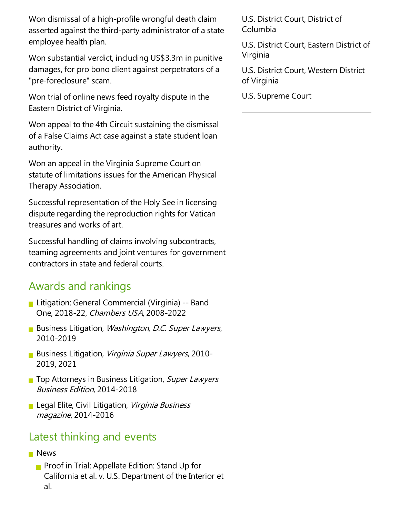Won dismissal of a high-profile wrongful death claim asserted against the third-party administrator of a state employee health plan.

Won substantial verdict, including US\$3.3m in punitive damages, for pro bono client against perpetrators of a "pre-foreclosure" scam.

Won trial of online news feed royalty dispute in the Eastern District of Virginia.

Won appeal to the 4th Circuit sustaining the dismissal of a False Claims Act case against a state student loan authority.

Won an appeal in the Virginia Supreme Court on statute of limitations issues for the American Physical Therapy Association.

Successful representation of the Holy See in licensing dispute regarding the reproduction rights for Vatican treasures and works of art.

Successful handling of claims involving subcontracts, teaming agreements and joint ventures for government contractors in state and federal courts.

#### Awards and rankings

- Litigation: General Commercial (Virginia) -- Band One, 2018-22, Chambers USA, 2008-2022
- **Business Litigation, Washington, D.C. Super Lawyers,** 2010-2019
- Business Litigation, Virginia Super Lawyers, 2010-2019, 2021
- **The Attorneys in Business Litigation, Super Lawyers** Business Edition, 2014-2018
- **Legal Elite, Civil Litigation, Virginia Business** magazine, 2014-2016

#### Latest thinking and events

- **News** 
	- **Proof in Trial: Appellate Edition: Stand Up for** California et al. v. U.S. Department of the Interior et al.

U.S. District Court, District of Columbia

U.S. District Court, Eastern District of Virginia

U.S. District Court, Western District of Virginia

U.S. Supreme Court